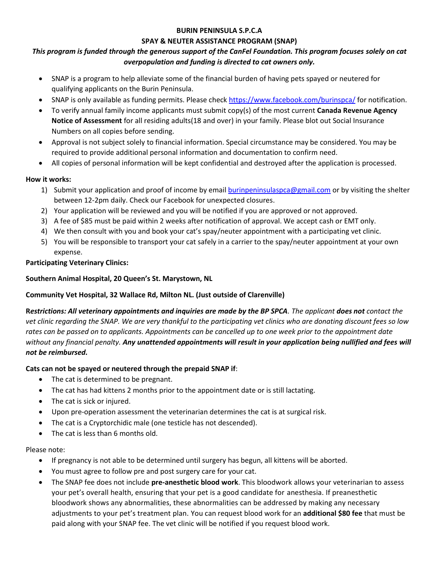#### **BURIN PENINSULA S.P.C.A**

#### **SPAY & NEUTER ASSISTANCE PROGRAM (SNAP)**

# *This program is funded through the generous support of the CanFel Foundation. This program focuses solely on cat overpopulation and funding is directed to cat owners only.*

- SNAP is a program to help alleviate some of the financial burden of having pets spayed or neutered for qualifying applicants on the Burin Peninsula.
- SNAP is only available as funding permits. Please check<https://www.facebook.com/burinspca/> for notification.
- To verify annual family income applicants must submit copy(s) of the most current **Canada Revenue Agency Notice of Assessment** for all residing adults(18 and over) in your family. Please blot out Social Insurance Numbers on all copies before sending.
- Approval is not subject solely to financial information. Special circumstance may be considered. You may be required to provide additional personal information and documentation to confirm need.
- All copies of personal information will be kept confidential and destroyed after the application is processed.

# **How it works:**

- 1) Submit your application and proof of income by email [burinpeninsulaspca@gmail.com](mailto:burinpeninsulaspca@gmail.com) or by visiting the shelter between 12-2pm daily. Check our Facebook for unexpected closures.
- 2) Your application will be reviewed and you will be notified if you are approved or not approved.
- 3) A fee of \$85 must be paid within 2 weeks after notification of approval. We accept cash or EMT only.
- 4) We then consult with you and book your cat's spay/neuter appointment with a participating vet clinic.
- 5) You will be responsible to transport your cat safely in a carrier to the spay/neuter appointment at your own expense.

## **Participating Veterinary Clinics:**

## **Southern Animal Hospital, 20 Queen's St. Marystown, NL**

## **Community Vet Hospital, 32 Wallace Rd, Milton NL. (Just outside of Clarenville)**

**R***estrictions: All veterinary appointments and inquiries are made by the BP SPCA. The applicant does not contact the vet clinic regarding the SNAP. We are very thankful to the participating vet clinics who are donating discount fees so low rates can be passed on to applicants. Appointments can be cancelled up to one week prior to the appointment date*  without any financial penalty. Any unattended appointments will result in your application being nullified and fees will *not be reimbursed.*

## **Cats can not be spayed or neutered through the prepaid SNAP if**:

- The cat is determined to be pregnant.
- The cat has had kittens 2 months prior to the appointment date or is still lactating.
- The cat is sick or injured.
- Upon pre-operation assessment the veterinarian determines the cat is at surgical risk.
- The cat is a Cryptorchidic male (one testicle has not descended).
- The cat is less than 6 months old.

#### Please note:

- If pregnancy is not able to be determined until surgery has begun, all kittens will be aborted.
- You must agree to follow pre and post surgery care for your cat.
- The SNAP fee does not include **pre-anesthetic blood work**. This bloodwork allows your veterinarian to assess your pet's overall health, ensuring that your pet is a good candidate for anesthesia. If preanesthetic bloodwork shows any abnormalities, these abnormalities can be addressed by making any necessary adjustments to your pet's treatment plan. You can request blood work for an **additional \$80 fee** that must be paid along with your SNAP fee. The vet clinic will be notified if you request blood work.